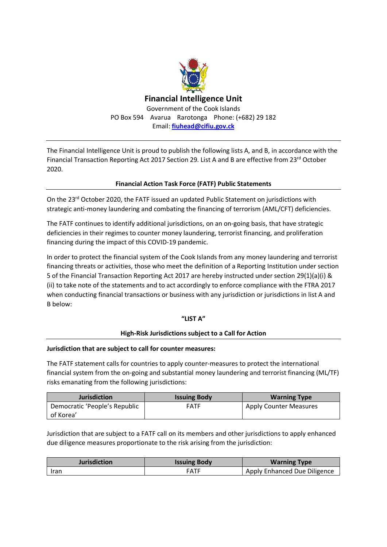

The Financial Intelligence Unit is proud to publish the following lists A, and B, in accordance with the Financial Transaction Reporting Act 2017 Section 29. List A and B are effective from 23<sup>rd</sup> October 2020.

## **Financial Action Task Force (FATF) Public Statements**

On the 23<sup>rd</sup> October 2020, the FATF issued an updated Public Statement on jurisdictions with strategic anti-money laundering and combating the financing of terrorism (AML/CFT) deficiencies.

The FATF continues to identify additional jurisdictions, on an on-going basis, that have strategic deficiencies in their regimes to counter money laundering, terrorist financing, and proliferation financing during the impact of this COVID-19 pandemic.

In order to protect the financial system of the Cook Islands from any money laundering and terrorist financing threats or activities, those who meet the definition of a Reporting Institution under section 5 of the Financial Transaction Reporting Act 2017 are hereby instructed under section 29(1)(a)(i) & (ii) to take note of the statements and to act accordingly to enforce compliance with the FTRA 2017 when conducting financial transactions or business with any jurisdiction or jurisdictions in list A and B below:

#### **"LIST A"**

#### **High-Risk Jurisdictions subject to a Call for Action**

#### **Jurisdiction that are subject to call for counter measures:**

The FATF statement calls for countries to apply counter-measures to protect the international financial system from the on-going and substantial money laundering and terrorist financing (ML/TF) risks emanating from the following jurisdictions:

| <b>Jurisdiction</b>           | <b>Issuing Body</b> | <b>Warning Type</b>    |
|-------------------------------|---------------------|------------------------|
| Democratic 'People's Republic | <b>FATF</b>         | Apply Counter Measures |
| of Korea'                     |                     |                        |

Jurisdiction that are subject to a FATF call on its members and other jurisdictions to apply enhanced due diligence measures proportionate to the risk arising from the jurisdiction:

| <b>Jurisdiction</b> | <b>Issuing Body</b> | <b>Warning Type</b>          |
|---------------------|---------------------|------------------------------|
| <b>Iran</b>         | <b>FATF</b>         | Apply Enhanced Due Diligence |